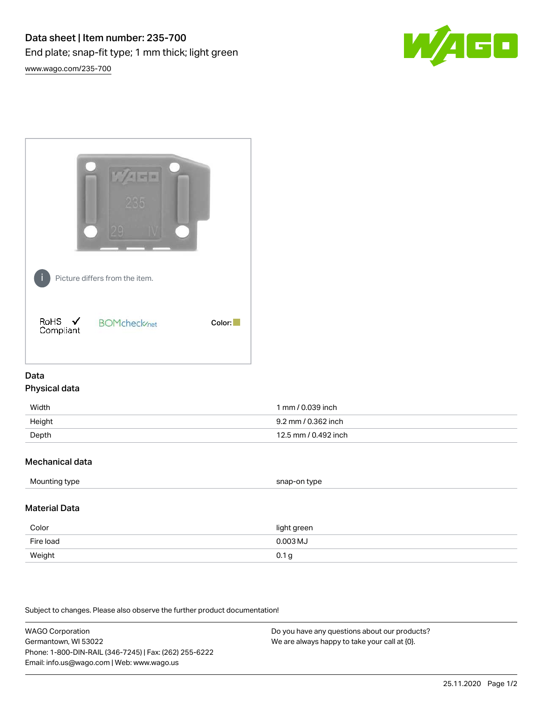



## Data Physical data

| Width  | 1 mm / 0.039 inch    |
|--------|----------------------|
| Height | 9.2 mm / 0.362 inch  |
| Depth  | 12.5 mm / 0.492 inch |

## Mechanical data

| Mounting type | snap-on type |
|---------------|--------------|
|               |              |

## Material Data

| Color     | light green      |
|-----------|------------------|
| Fire load | $0.003$ MJ       |
| Weight    | 0.1 <sub>g</sub> |

Subject to changes. Please also observe the further product documentation!

WAGO Corporation Germantown, WI 53022 Phone: 1-800-DIN-RAIL (346-7245) | Fax: (262) 255-6222 Email: info.us@wago.com | Web: www.wago.us Do you have any questions about our products? We are always happy to take your call at {0}.